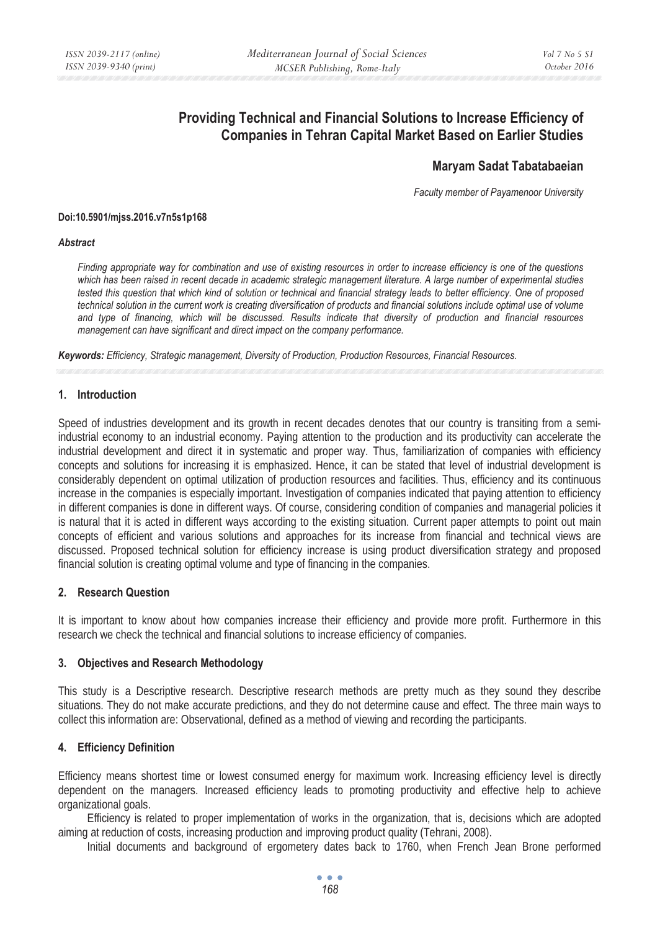# **Providing Technical and Financial Solutions to Increase Efficiency of Companies in Tehran Capital Market Based on Earlier Studies**

## **Maryam Sadat Tabatabaeian**

*Faculty member of Payamenoor University* 

#### **Doi:10.5901/mjss.2016.v7n5s1p168**

#### *Abstract*

*Finding appropriate way for combination and use of existing resources in order to increase efficiency is one of the questions which has been raised in recent decade in academic strategic management literature. A large number of experimental studies tested this question that which kind of solution or technical and financial strategy leads to better efficiency. One of proposed technical solution in the current work is creating diversification of products and financial solutions include optimal use of volume and type of financing, which will be discussed. Results indicate that diversity of production and financial resources management can have significant and direct impact on the company performance.* 

*Keywords: Efficiency, Strategic management, Diversity of Production, Production Resources, Financial Resources.*

#### **1. Introduction**

Speed of industries development and its growth in recent decades denotes that our country is transiting from a semiindustrial economy to an industrial economy. Paying attention to the production and its productivity can accelerate the industrial development and direct it in systematic and proper way. Thus, familiarization of companies with efficiency concepts and solutions for increasing it is emphasized. Hence, it can be stated that level of industrial development is considerably dependent on optimal utilization of production resources and facilities. Thus, efficiency and its continuous increase in the companies is especially important. Investigation of companies indicated that paying attention to efficiency in different companies is done in different ways. Of course, considering condition of companies and managerial policies it is natural that it is acted in different ways according to the existing situation. Current paper attempts to point out main concepts of efficient and various solutions and approaches for its increase from financial and technical views are discussed. Proposed technical solution for efficiency increase is using product diversification strategy and proposed financial solution is creating optimal volume and type of financing in the companies.

#### **2. Research Question**

It is important to know about how companies increase their efficiency and provide more profit. Furthermore in this research we check the technical and financial solutions to increase efficiency of companies.

#### **3. Objectives and Research Methodology**

This study is a Descriptive research. Descriptive research methods are pretty much as they sound they describe situations. They do not make accurate predictions, and they do not determine cause and effect. The three main ways to collect this information are: Observational, defined as a method of viewing and recording the participants.

#### **4. Efficiency Definition**

Efficiency means shortest time or lowest consumed energy for maximum work. Increasing efficiency level is directly dependent on the managers. Increased efficiency leads to promoting productivity and effective help to achieve organizational goals.

Efficiency is related to proper implementation of works in the organization, that is, decisions which are adopted aiming at reduction of costs, increasing production and improving product quality (Tehrani, 2008).

Initial documents and background of ergometery dates back to 1760, when French Jean Brone performed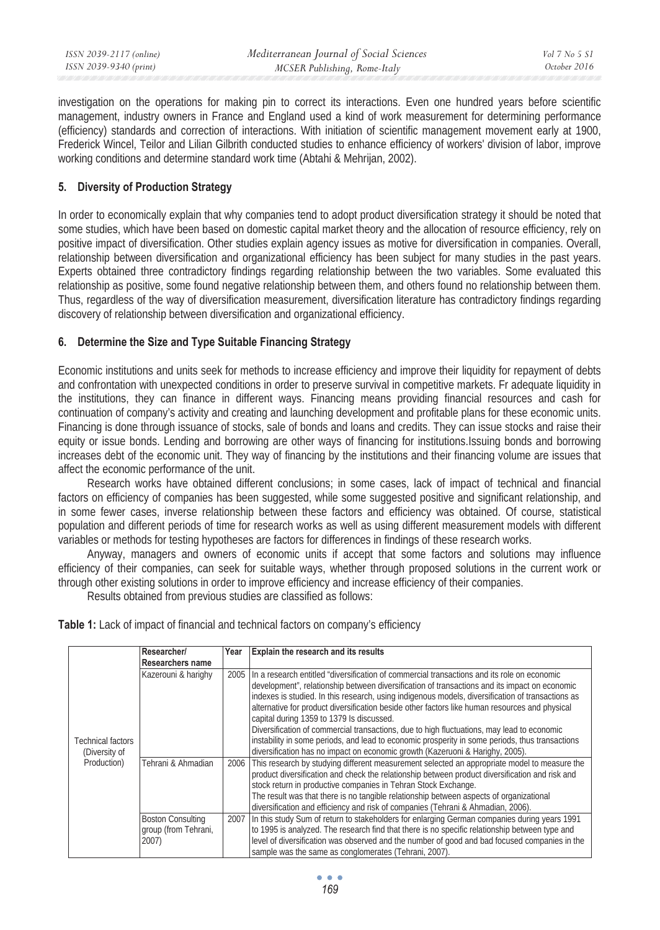investigation on the operations for making pin to correct its interactions. Even one hundred years before scientific management, industry owners in France and England used a kind of work measurement for determining performance (efficiency) standards and correction of interactions. With initiation of scientific management movement early at 1900, Frederick Wincel, Teilor and Lilian Gilbrith conducted studies to enhance efficiency of workers' division of labor, improve working conditions and determine standard work time (Abtahi & Mehrijan, 2002).

## **5. Diversity of Production Strategy**

In order to economically explain that why companies tend to adopt product diversification strategy it should be noted that some studies, which have been based on domestic capital market theory and the allocation of resource efficiency, rely on positive impact of diversification. Other studies explain agency issues as motive for diversification in companies. Overall, relationship between diversification and organizational efficiency has been subject for many studies in the past years. Experts obtained three contradictory findings regarding relationship between the two variables. Some evaluated this relationship as positive, some found negative relationship between them, and others found no relationship between them. Thus, regardless of the way of diversification measurement, diversification literature has contradictory findings regarding discovery of relationship between diversification and organizational efficiency.

### **6. Determine the Size and Type Suitable Financing Strategy**

Economic institutions and units seek for methods to increase efficiency and improve their liquidity for repayment of debts and confrontation with unexpected conditions in order to preserve survival in competitive markets. Fr adequate liquidity in the institutions, they can finance in different ways. Financing means providing financial resources and cash for continuation of company's activity and creating and launching development and profitable plans for these economic units. Financing is done through issuance of stocks, sale of bonds and loans and credits. They can issue stocks and raise their equity or issue bonds. Lending and borrowing are other ways of financing for institutions.Issuing bonds and borrowing increases debt of the economic unit. They way of financing by the institutions and their financing volume are issues that affect the economic performance of the unit.

Research works have obtained different conclusions; in some cases, lack of impact of technical and financial factors on efficiency of companies has been suggested, while some suggested positive and significant relationship, and in some fewer cases, inverse relationship between these factors and efficiency was obtained. Of course, statistical population and different periods of time for research works as well as using different measurement models with different variables or methods for testing hypotheses are factors for differences in findings of these research works.

Anyway, managers and owners of economic units if accept that some factors and solutions may influence efficiency of their companies, can seek for suitable ways, whether through proposed solutions in the current work or through other existing solutions in order to improve efficiency and increase efficiency of their companies.

Results obtained from previous studies are classified as follows:

**Table 1:** Lack of impact of financial and technical factors on company's efficiency

|                              | Researcher/                                               | Year | Explain the research and its results                                                                                                                                                                                                                                                                                                                                                                                                                                                                                                                                                                                                                                                                                               |
|------------------------------|-----------------------------------------------------------|------|------------------------------------------------------------------------------------------------------------------------------------------------------------------------------------------------------------------------------------------------------------------------------------------------------------------------------------------------------------------------------------------------------------------------------------------------------------------------------------------------------------------------------------------------------------------------------------------------------------------------------------------------------------------------------------------------------------------------------------|
|                              | Researchers name                                          |      |                                                                                                                                                                                                                                                                                                                                                                                                                                                                                                                                                                                                                                                                                                                                    |
| Technical factors            | Kazerouni & harighy                                       | 2005 | In a research entitled "diversification of commercial transactions and its role on economic<br>development", relationship between diversification of transactions and its impact on economic<br>indexes is studied. In this research, using indigenous models, diversification of transactions as<br>alternative for product diversification beside other factors like human resources and physical<br>capital during 1359 to 1379 Is discussed.<br>Diversification of commercial transactions, due to high fluctuations, may lead to economic<br>instability in some periods, and lead to economic prosperity in some periods, thus transactions<br>diversification has no impact on economic growth (Kazeruoni & Harighy, 2005). |
| (Diversity of<br>Production) | Tehrani & Ahmadian                                        | 2006 | This research by studying different measurement selected an appropriate model to measure the<br>product diversification and check the relationship between product diversification and risk and<br>stock return in productive companies in Tehran Stock Exchange.<br>The result was that there is no tangible relationship between aspects of organizational<br>diversification and efficiency and risk of companies (Tehrani & Ahmadian, 2006).                                                                                                                                                                                                                                                                                   |
|                              | <b>Boston Consulting</b><br>group (from Tehrani,<br>2007) |      | 2007 In this study Sum of return to stakeholders for enlarging German companies during years 1991<br>to 1995 is analyzed. The research find that there is no specific relationship between type and<br>level of diversification was observed and the number of good and bad focused companies in the<br>sample was the same as conglomerates (Tehrani, 2007).                                                                                                                                                                                                                                                                                                                                                                      |

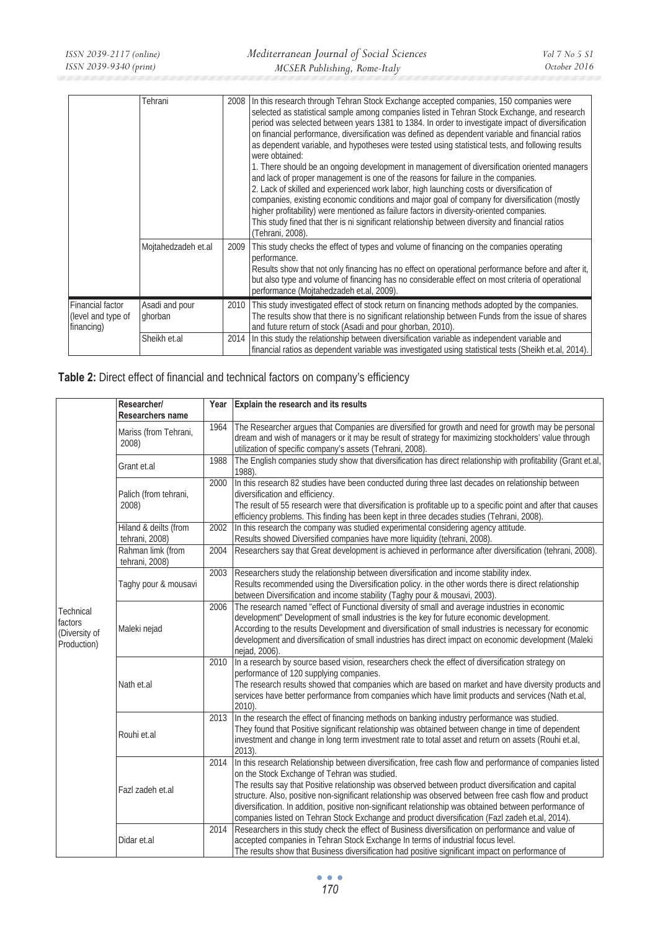|                                                      | Tehrani                   |      | 2008 In this research through Tehran Stock Exchange accepted companies, 150 companies were<br>selected as statistical sample among companies listed in Tehran Stock Exchange, and research<br>period was selected between years 1381 to 1384. In order to investigate impact of diversification<br>on financial performance, diversification was defined as dependent variable and financial ratios<br>as dependent variable, and hypotheses were tested using statistical tests, and following results<br>were obtained:<br>1. There should be an ongoing development in management of diversification oriented managers<br>and lack of proper management is one of the reasons for failure in the companies.<br>2. Lack of skilled and experienced work labor, high launching costs or diversification of<br>companies, existing economic conditions and major goal of company for diversification (mostly<br>higher profitability) were mentioned as failure factors in diversity-oriented companies.<br>This study fined that ther is ni significant relationship between diversity and financial ratios<br>(Tehrani, 2008). |
|------------------------------------------------------|---------------------------|------|----------------------------------------------------------------------------------------------------------------------------------------------------------------------------------------------------------------------------------------------------------------------------------------------------------------------------------------------------------------------------------------------------------------------------------------------------------------------------------------------------------------------------------------------------------------------------------------------------------------------------------------------------------------------------------------------------------------------------------------------------------------------------------------------------------------------------------------------------------------------------------------------------------------------------------------------------------------------------------------------------------------------------------------------------------------------------------------------------------------------------------|
|                                                      | Mojtahedzadeh et.al       | 2009 | This study checks the effect of types and volume of financing on the companies operating<br>performance.<br>Results show that not only financing has no effect on operational performance before and after it,<br>but also type and volume of financing has no considerable effect on most criteria of operational<br>performance (Mojtahedzadeh et.al, 2009).                                                                                                                                                                                                                                                                                                                                                                                                                                                                                                                                                                                                                                                                                                                                                                   |
| Financial factor<br>(level and type of<br>financing) | Asadi and pour<br>ghorban | 2010 | This study investigated effect of stock return on financing methods adopted by the companies.<br>The results show that there is no significant relationship between Funds from the issue of shares<br>and future return of stock (Asadi and pour ghorban, 2010).                                                                                                                                                                                                                                                                                                                                                                                                                                                                                                                                                                                                                                                                                                                                                                                                                                                                 |
|                                                      | Sheikh et.al              |      | 2014 In this study the relationship between diversification variable as independent variable and<br>financial ratios as dependent variable was investigated using statistical tests (Sheikh et.al, 2014).                                                                                                                                                                                                                                                                                                                                                                                                                                                                                                                                                                                                                                                                                                                                                                                                                                                                                                                        |

| Table 2: Direct effect of financial and technical factors on company's efficiency |  |  |
|-----------------------------------------------------------------------------------|--|--|
|-----------------------------------------------------------------------------------|--|--|

|                                                      | Researcher/<br>Researchers name         | Year | Explain the research and its results                                                                                                                                                                                                                                                                                                                                                                                                                                                                                                                                                     |
|------------------------------------------------------|-----------------------------------------|------|------------------------------------------------------------------------------------------------------------------------------------------------------------------------------------------------------------------------------------------------------------------------------------------------------------------------------------------------------------------------------------------------------------------------------------------------------------------------------------------------------------------------------------------------------------------------------------------|
| Technical<br>factors<br>(Diversity of<br>Production) | Mariss (from Tehrani,<br>2008)          | 1964 | The Researcher argues that Companies are diversified for growth and need for growth may be personal<br>dream and wish of managers or it may be result of strategy for maximizing stockholders' value through<br>utilization of specific company's assets (Tehrani, 2008).                                                                                                                                                                                                                                                                                                                |
|                                                      | Grant et.al                             | 1988 | The English companies study show that diversification has direct relationship with profitability (Grant et.al,<br>1988).                                                                                                                                                                                                                                                                                                                                                                                                                                                                 |
|                                                      | Palich (from tehrani,<br>2008)          | 2000 | In this research 82 studies have been conducted during three last decades on relationship between<br>diversification and efficiency.<br>The result of 55 research were that diversification is profitable up to a specific point and after that causes<br>efficiency problems. This finding has been kept in three decades studies (Tehrani, 2008).                                                                                                                                                                                                                                      |
|                                                      | Hiland & deilts (from<br>tehrani, 2008) | 2002 | In this research the company was studied experimental considering agency attitude.<br>Results showed Diversified companies have more liquidity (tehrani, 2008).                                                                                                                                                                                                                                                                                                                                                                                                                          |
|                                                      | Rahman limk (from<br>tehrani, 2008)     | 2004 | Researchers say that Great development is achieved in performance after diversification (tehrani, 2008).                                                                                                                                                                                                                                                                                                                                                                                                                                                                                 |
|                                                      | Taghy pour & mousavi                    | 2003 | Researchers study the relationship between diversification and income stability index.<br>Results recommended using the Diversification policy. in the other words there is direct relationship<br>between Diversification and income stability (Taghy pour & mousavi, 2003).                                                                                                                                                                                                                                                                                                            |
|                                                      | Maleki nejad                            | 2006 | The research named "effect of Functional diversity of small and average industries in economic<br>development" Development of small industries is the key for future economic development.<br>According to the results Development and diversification of small industries is necessary for economic<br>development and diversification of small industries has direct impact on economic development (Maleki<br>nejad, 2006).                                                                                                                                                           |
|                                                      | Nath et.al                              | 2010 | In a research by source based vision, researchers check the effect of diversification strategy on<br>performance of 120 supplying companies.<br>The research results showed that companies which are based on market and have diversity products and<br>services have better performance from companies which have limit products and services (Nath et.al,<br>2010).                                                                                                                                                                                                                    |
|                                                      | Rouhi et.al                             | 2013 | In the research the effect of financing methods on banking industry performance was studied.<br>They found that Positive significant relationship was obtained between change in time of dependent<br>investment and change in long term investment rate to total asset and return on assets (Rouhi et.al,<br>$2013$ ).                                                                                                                                                                                                                                                                  |
|                                                      | Fazl zadeh et.al                        | 2014 | In this research Relationship between diversification, free cash flow and performance of companies listed<br>on the Stock Exchange of Tehran was studied.<br>The results say that Positive relationship was observed between product diversification and capital<br>structure. Also, positive non-significant relationship was observed between free cash flow and product<br>diversification. In addition, positive non-significant relationship was obtained between performance of<br>companies listed on Tehran Stock Exchange and product diversification (Fazl zadeh et.al, 2014). |
|                                                      | Didar et.al                             |      | 2014 Researchers in this study check the effect of Business diversification on performance and value of<br>accepted companies in Tehran Stock Exchange In terms of industrial focus level.<br>The results show that Business diversification had positive significant impact on performance of                                                                                                                                                                                                                                                                                           |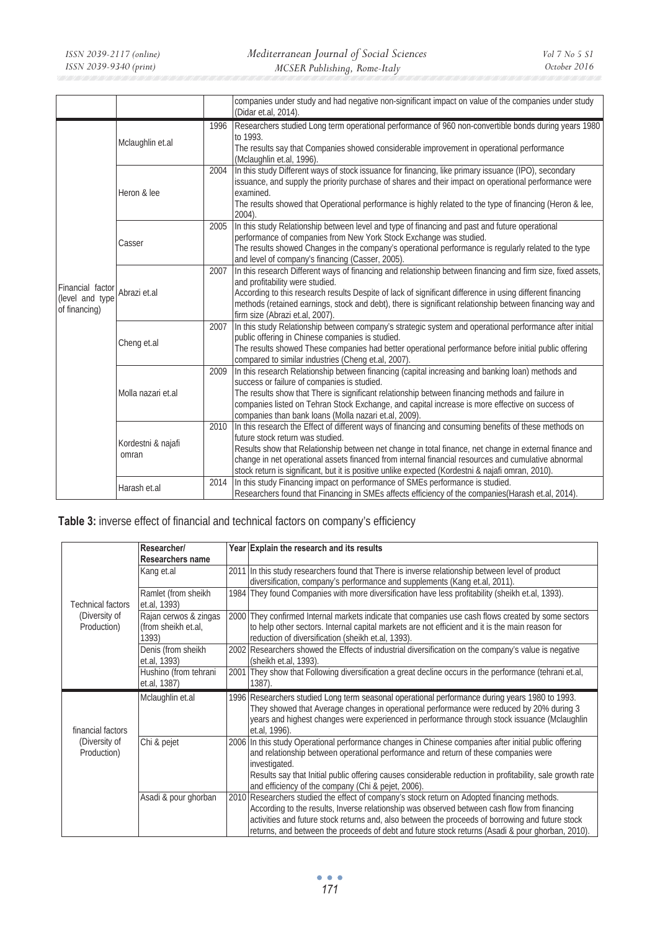|                                                      |                             |      | companies under study and had negative non-significant impact on value of the companies under study<br>(Didar et.al, 2014).                                                                                                                                                                                                                                                                                                                                     |
|------------------------------------------------------|-----------------------------|------|-----------------------------------------------------------------------------------------------------------------------------------------------------------------------------------------------------------------------------------------------------------------------------------------------------------------------------------------------------------------------------------------------------------------------------------------------------------------|
| Financial factor<br>(level and type<br>of financing) | Mclaughlin et.al            | 1996 | Researchers studied Long term operational performance of 960 non-convertible bonds during years 1980<br>to 1993.<br>The results say that Companies showed considerable improvement in operational performance<br>(Mclaughlin et.al, 1996).                                                                                                                                                                                                                      |
|                                                      | Heron & lee                 | 2004 | In this study Different ways of stock issuance for financing, like primary issuance (IPO), secondary<br>issuance, and supply the priority purchase of shares and their impact on operational performance were<br>examined.<br>The results showed that Operational performance is highly related to the type of financing (Heron & lee,<br>2004).                                                                                                                |
|                                                      | Casser                      | 2005 | In this study Relationship between level and type of financing and past and future operational<br>performance of companies from New York Stock Exchange was studied.<br>The results showed Changes in the company's operational performance is regularly related to the type<br>and level of company's financing (Casser, 2005).                                                                                                                                |
|                                                      | Abrazi et.al                | 2007 | In this research Different ways of financing and relationship between financing and firm size, fixed assets,<br>and profitability were studied.<br>According to this research results Despite of lack of significant difference in using different financing<br>methods (retained earnings, stock and debt), there is significant relationship between financing way and<br>firm size (Abrazi et.al, 2007).                                                     |
|                                                      | Cheng et.al                 | 2007 | In this study Relationship between company's strategic system and operational performance after initial<br>public offering in Chinese companies is studied.<br>The results showed These companies had better operational performance before initial public offering<br>compared to similar industries (Cheng et.al, 2007).                                                                                                                                      |
|                                                      | Molla nazari et.al          | 2009 | In this research Relationship between financing (capital increasing and banking loan) methods and<br>success or failure of companies is studied.<br>The results show that There is significant relationship between financing methods and failure in<br>companies listed on Tehran Stock Exchange, and capital increase is more effective on success of<br>companies than bank loans (Molla nazari et.al, 2009).                                                |
|                                                      | Kordestni & najafi<br>omran | 2010 | In this research the Effect of different ways of financing and consuming benefits of these methods on<br>future stock return was studied.<br>Results show that Relationship between net change in total finance, net change in external finance and<br>change in net operational assets financed from internal financial resources and cumulative abnormal<br>stock return is significant, but it is positive unlike expected (Kordestni & najafi omran, 2010). |
|                                                      | Harash et.al                | 2014 | In this study Financing impact on performance of SMEs performance is studied.<br>Researchers found that Financing in SMEs affects efficiency of the companies (Harash et.al, 2014).                                                                                                                                                                                                                                                                             |

**Table 3:** inverse effect of financial and technical factors on company's efficiency

|                              | Researcher/                         | Year Explain the research and its results                                                                                                                                                                                                                                                                   |
|------------------------------|-------------------------------------|-------------------------------------------------------------------------------------------------------------------------------------------------------------------------------------------------------------------------------------------------------------------------------------------------------------|
|                              | Researchers name                    |                                                                                                                                                                                                                                                                                                             |
|                              | Kang et.al                          | 2011 In this study researchers found that There is inverse relationship between level of product                                                                                                                                                                                                            |
|                              |                                     | diversification, company's performance and supplements (Kang et.al, 2011).                                                                                                                                                                                                                                  |
| <b>Technical factors</b>     | Ramlet (from sheikh<br>et.al, 1393) | 1984 They found Companies with more diversification have less profitability (sheikh et.al, 1393).                                                                                                                                                                                                           |
| (Diversity of                | Rajan cerwos & zingas               | 2000 They confirmed Internal markets indicate that companies use cash flows created by some sectors                                                                                                                                                                                                         |
| Production)                  | (from sheikh et.al,<br>1393)        | to help other sectors. Internal capital markets are not efficient and it is the main reason for<br>reduction of diversification (sheikh et.al, 1393).                                                                                                                                                       |
|                              | Denis (from sheikh<br>et.al, 1393)  | 2002 Researchers showed the Effects of industrial diversification on the company's value is negative<br>(sheikh et.al, 1393).                                                                                                                                                                               |
|                              | Hushino (from tehrani               | 2001 They show that Following diversification a great decline occurs in the performance (tehrani et.al,                                                                                                                                                                                                     |
|                              | et.al, 1387)                        | 1387).                                                                                                                                                                                                                                                                                                      |
| financial factors            | Mclaughlin et.al                    | 1996 Researchers studied Long term seasonal operational performance during years 1980 to 1993.<br>They showed that Average changes in operational performance were reduced by 20% during 3<br>years and highest changes were experienced in performance through stock issuance (Mclaughlin<br>et.al, 1996). |
| (Diversity of<br>Production) | Chi & pejet                         | 2006 In this study Operational performance changes in Chinese companies after initial public offering<br>and relationship between operational performance and return of these companies were<br>investigated.                                                                                               |
|                              |                                     | Results say that Initial public offering causes considerable reduction in profitability, sale growth rate                                                                                                                                                                                                   |
|                              |                                     | and efficiency of the company (Chi & pejet, 2006).                                                                                                                                                                                                                                                          |
|                              | Asadi & pour ghorban                | 2010 Researchers studied the effect of company's stock return on Adopted financing methods.                                                                                                                                                                                                                 |
|                              |                                     | According to the results, Inverse relationship was observed between cash flow from financing                                                                                                                                                                                                                |
|                              |                                     | activities and future stock returns and, also between the proceeds of borrowing and future stock<br>returns, and between the proceeds of debt and future stock returns (Asadi & pour ghorban, 2010).                                                                                                        |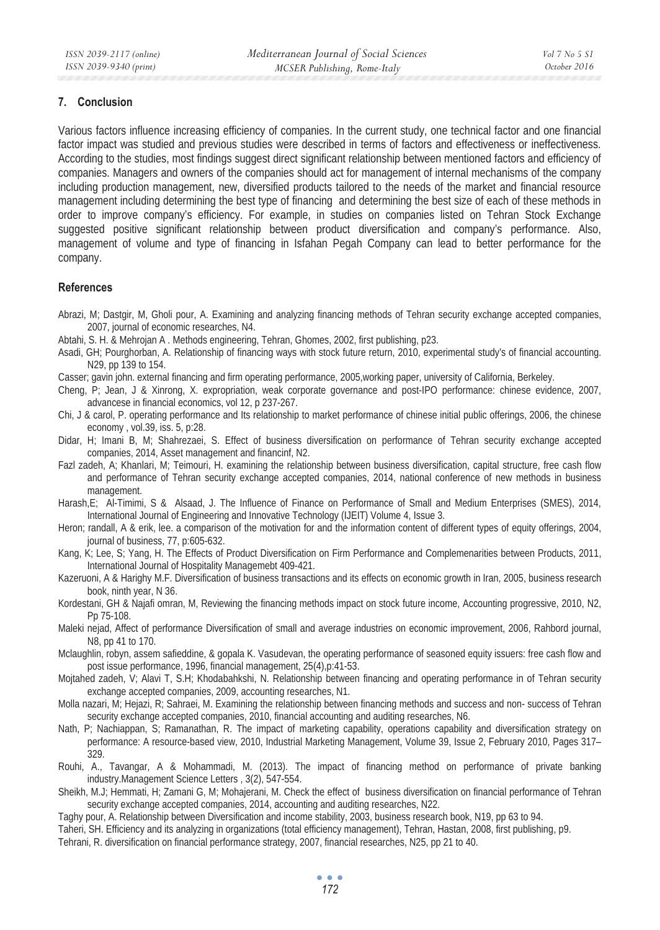#### **7. Conclusion**

Various factors influence increasing efficiency of companies. In the current study, one technical factor and one financial factor impact was studied and previous studies were described in terms of factors and effectiveness or ineffectiveness. According to the studies, most findings suggest direct significant relationship between mentioned factors and efficiency of companies. Managers and owners of the companies should act for management of internal mechanisms of the company including production management, new, diversified products tailored to the needs of the market and financial resource management including determining the best type of financing and determining the best size of each of these methods in order to improve company's efficiency. For example, in studies on companies listed on Tehran Stock Exchange suggested positive significant relationship between product diversification and company's performance. Also, management of volume and type of financing in Isfahan Pegah Company can lead to better performance for the company.

### **References**

- Abrazi, M; Dastgir, M, Gholi pour, A. Examining and analyzing financing methods of Tehran security exchange accepted companies, 2007, journal of economic researches, N4.
- Abtahi, S. H. & Mehrojan A . Methods engineering, Tehran, Ghomes, 2002, first publishing, p23.
- Asadi, GH; Pourghorban, A. Relationship of financing ways with stock future return, 2010, experimental study's of financial accounting. N29, pp 139 to 154.
- Casser; gavin john. external financing and firm operating performance, 2005,working paper, university of California, Berkeley.
- Cheng, P; Jean, J & Xinrong, X. expropriation, weak corporate governance and post-IPO performance: chinese evidence, 2007, advancese in financial economics, vol 12, p 237-267.
- Chi, J & carol, P. operating performance and Its relationship to market performance of chinese initial public offerings, 2006, the chinese economy , vol.39, iss. 5, p:28.
- Didar, H; Imani B, M; Shahrezaei, S. Effect of business diversification on performance of Tehran security exchange accepted companies, 2014, Asset management and financinf, N2.
- Fazl zadeh, A; Khanlari, M; Teimouri, H. examining the relationship between business diversification, capital structure, free cash flow and performance of Tehran security exchange accepted companies, 2014, national conference of new methods in business management.
- Harash,E; Al-Timimi, S & Alsaad, J. The Influence of Finance on Performance of Small and Medium Enterprises (SMES), 2014, International Journal of Engineering and Innovative Technology (IJEIT) Volume 4, Issue 3.
- Heron; randall, A & erik, lee. a comparison of the motivation for and the information content of different types of equity offerings, 2004, journal of business, 77, p:605-632.
- Kang, K; Lee, S; Yang, H. The Effects of Product Diversification on Firm Performance and Complemenarities between Products, 2011, International Journal of Hospitality Managemebt 409-421.
- Kazeruoni, A & Harighy M.F. Diversification of business transactions and its effects on economic growth in Iran, 2005, business research book, ninth year, N 36.
- Kordestani, GH & Najafi omran, M, Reviewing the financing methods impact on stock future income, Accounting progressive, 2010, N2, Pp 75-108.
- Maleki nejad, Affect of performance Diversification of small and average industries on economic improvement, 2006, Rahbord journal, N8, pp 41 to 170.
- Mclaughlin, robyn, assem safieddine, & gopala K. Vasudevan, the operating performance of seasoned equity issuers: free cash flow and post issue performance, 1996, financial management, 25(4),p:41-53.
- Mojtahed zadeh, V; Alavi T, S.H; Khodabahkshi, N. Relationship between financing and operating performance in of Tehran security exchange accepted companies, 2009, accounting researches, N1.
- Molla nazari, M; Hejazi, R; Sahraei, M. Examining the relationship between financing methods and success and non- success of Tehran security exchange accepted companies, 2010, financial accounting and auditing researches, N6.
- Nath, P; Nachiappan, S; Ramanathan, R. The impact of marketing capability, operations capability and diversification strategy on performance: A resource-based view, 2010, Industrial Marketing Management, Volume 39, Issue 2, February 2010, Pages 317– 329.
- Rouhi, A., Tavangar, A & Mohammadi, M. (2013). The impact of financing method on performance of private banking industry.Management Science Letters , 3(2), 547-554.
- Sheikh, M.J; Hemmati, H; Zamani G, M; Mohajerani, M. Check the effect of business diversification on financial performance of Tehran security exchange accepted companies, 2014, accounting and auditing researches, N22.
- Taghy pour, A. Relationship between Diversification and income stability, 2003, business research book, N19, pp 63 to 94.
- Taheri, SH. Efficiency and its analyzing in organizations (total efficiency management), Tehran, Hastan, 2008, first publishing, p9.
- Tehrani, R. diversification on financial performance strategy, 2007, financial researches, N25, pp 21 to 40.